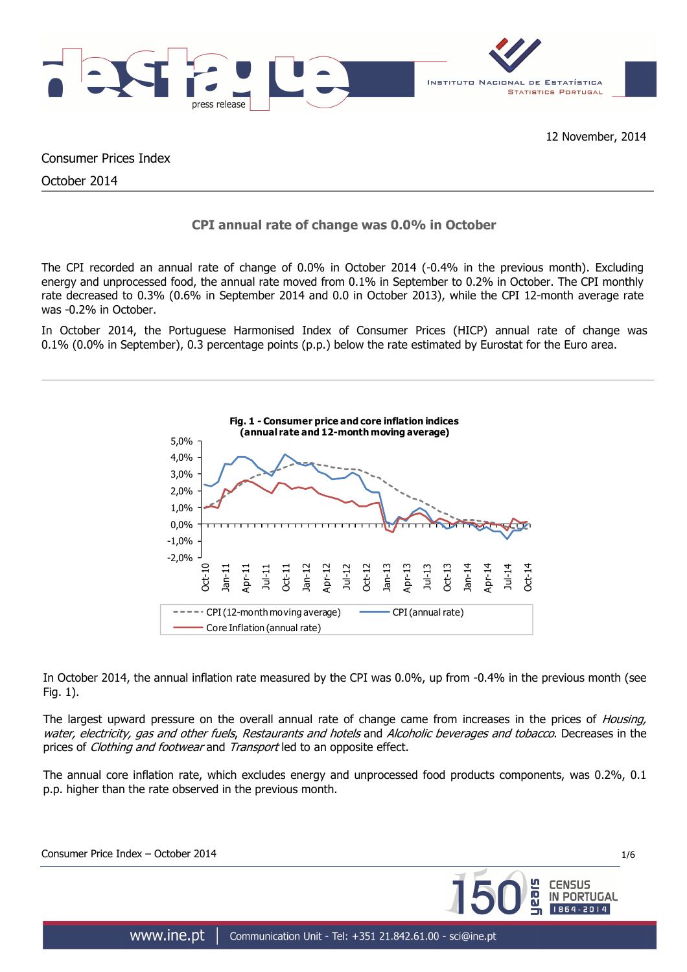

Consumer Prices Index

October 2014

# **CPI annual rate of change was 0.0% in October**

The CPI recorded an annual rate of change of 0.0% in October 2014 (-0.4% in the previous month). Excluding energy and unprocessed food, the annual rate moved from 0.1% in September to 0.2% in October. The CPI monthly rate decreased to 0.3% (0.6% in September 2014 and 0.0 in October 2013), while the CPI 12-month average rate was -0.2% in October.

In October 2014, the Portuguese Harmonised Index of Consumer Prices (HICP) annual rate of change was 0.1% (0.0% in September), 0.3 percentage points (p.p.) below the rate estimated by Eurostat for the Euro area.



In October 2014, the annual inflation rate measured by the CPI was 0.0%, up from -0.4% in the previous month (see Fig. 1).

The largest upward pressure on the overall annual rate of change came from increases in the prices of Housing, water, electricity, gas and other fuels, Restaurants and hotels and Alcoholic beverages and tobacco. Decreases in the prices of *Clothing and footwear* and *Transport* led to an opposite effect.

The annual core inflation rate, which excludes energy and unprocessed food products components, was 0.2%, 0.1 p.p. higher than the rate observed in the previous month.

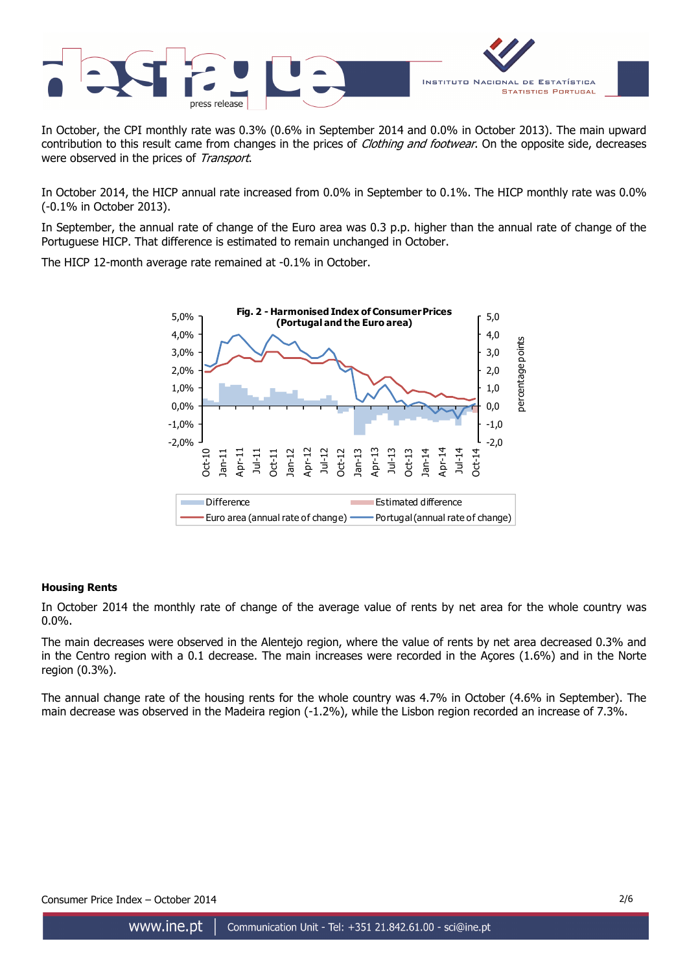

In October, the CPI monthly rate was 0.3% (0.6% in September 2014 and 0.0% in October 2013). The main upward contribution to this result came from changes in the prices of *Clothing and footwear*. On the opposite side, decreases were observed in the prices of Transport.

In October 2014, the HICP annual rate increased from 0.0% in September to 0.1%. The HICP monthly rate was 0.0% (-0.1% in October 2013).

In September, the annual rate of change of the Euro area was 0.3 p.p. higher than the annual rate of change of the Portuguese HICP. That difference is estimated to remain unchanged in October.

The HICP 12-month average rate remained at -0.1% in October.



## **Housing Rents**

In October 2014 the monthly rate of change of the average value of rents by net area for the whole country was 0.0%.

The main decreases were observed in the Alentejo region, where the value of rents by net area decreased 0.3% and in the Centro region with a 0.1 decrease. The main increases were recorded in the Açores (1.6%) and in the Norte region (0.3%).

The annual change rate of the housing rents for the whole country was 4.7% in October (4.6% in September). The main decrease was observed in the Madeira region (-1.2%), while the Lisbon region recorded an increase of 7.3%.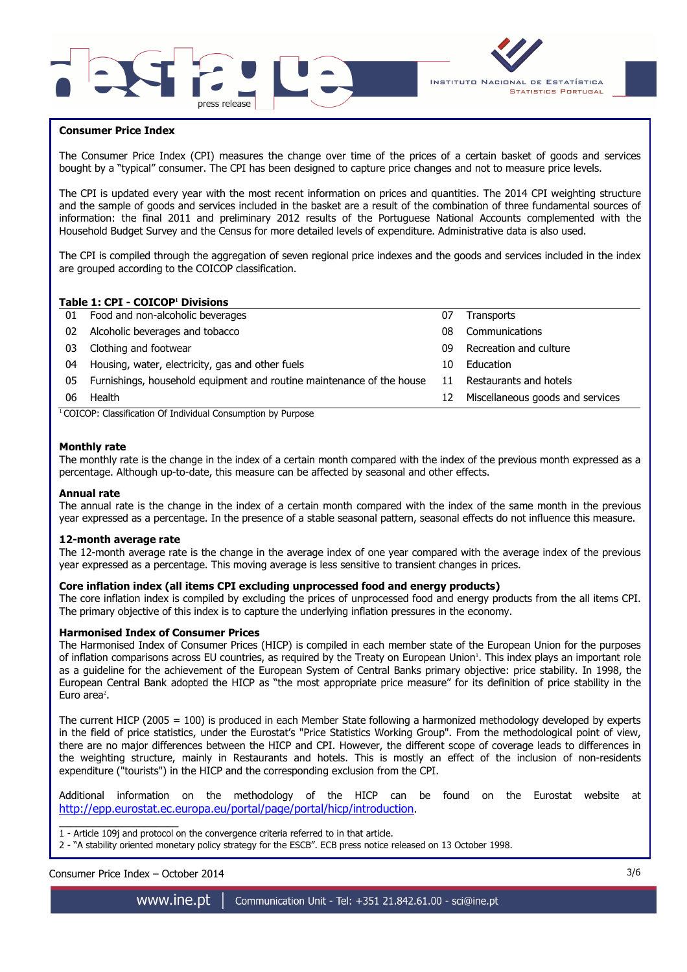



## **Consumer Price Index**

I

The Consumer Price Index (CPI) measures the change over time of the prices of a certain basket of goods and services bought by a "typical" consumer. The CPI has been designed to capture price changes and not to measure price levels.

The CPI is updated every year with the most recent information on prices and quantities. The 2014 CPI weighting structure and the sample of goods and services included in the basket are a result of the combination of three fundamental sources of information: the final 2011 and preliminary 2012 results of the Portuguese National Accounts complemented with the Household Budget Survey and the Census for more detailed levels of expenditure. Administrative data is also used.

The CPI is compiled through the aggregation of seven regional price indexes and the goods and services included in the index are grouped according to the COICOP classification.

#### **Table 1: CPI - COICOP<sup>1</sup> Divisions**

| 01 | Food and non-alcoholic beverages                                      | 07 | <b>Transports</b>                |
|----|-----------------------------------------------------------------------|----|----------------------------------|
| 02 | Alcoholic beverages and tobacco                                       | 08 | Communications                   |
| 03 | Clothing and footwear                                                 | 09 | Recreation and culture           |
| 04 | Housing, water, electricity, gas and other fuels                      | 10 | Education                        |
| 05 | Furnishings, household equipment and routine maintenance of the house | 11 | Restaurants and hotels           |
| 06 | Health                                                                | 12 | Miscellaneous goods and services |
|    | $\cdots$<br>$\cdots$<br>$\sim$                                        |    |                                  |

<sup>1</sup> COICOP: Classification Of Individual Consumption by Purpose

#### **Monthly rate**

The monthly rate is the change in the index of a certain month compared with the index of the previous month expressed as a percentage. Although up-to-date, this measure can be affected by seasonal and other effects.

#### **Annual rate**

The annual rate is the change in the index of a certain month compared with the index of the same month in the previous year expressed as a percentage. In the presence of a stable seasonal pattern, seasonal effects do not influence this measure.

#### **12-month average rate**

The 12-month average rate is the change in the average index of one year compared with the average index of the previous year expressed as a percentage. This moving average is less sensitive to transient changes in prices.

#### **Core inflation index (all items CPI excluding unprocessed food and energy products)**

The core inflation index is compiled by excluding the prices of unprocessed food and energy products from the all items CPI. The primary objective of this index is to capture the underlying inflation pressures in the economy.

### **Harmonised Index of Consumer Prices**

The Harmonised Index of Consumer Prices (HICP) is compiled in each member state of the European Union for the purposes of inflation comparisons across EU countries, as required by the Treaty on European Union'. This index plays an important role as a guideline for the achievement of the European System of Central Banks primary objective: price stability. In 1998, the European Central Bank adopted the HICP as "the most appropriate price measure" for its definition of price stability in the Euro area<sup>2</sup>.

The current HICP (2005 = 100) is produced in each Member State following a harmonized methodology developed by experts in the field of price statistics, under the Eurostat's "Price Statistics Working Group". From the methodological point of view, there are no major differences between the HICP and CPI. However, the different scope of coverage leads to differences in the weighting structure, mainly in Restaurants and hotels. This is mostly an effect of the inclusion of non-residents expenditure ("tourists") in the HICP and the corresponding exclusion from the CPI.

Additional information on the methodology of the HICP can be found on the Eurostat website at http://epp.eurostat.ec.europa.eu/portal/page/portal/hicp/introduction.

\_\_\_\_\_\_\_\_\_\_\_\_\_\_\_\_\_\_\_\_\_ 1 - Article 109j and protocol on the convergence criteria referred to in that article.

2 - "A stability oriented monetary policy strategy for the ESCB". ECB press notice released on 13 October 1998.

## Consumer Price Index – October 2014 3/6

www.ine.pt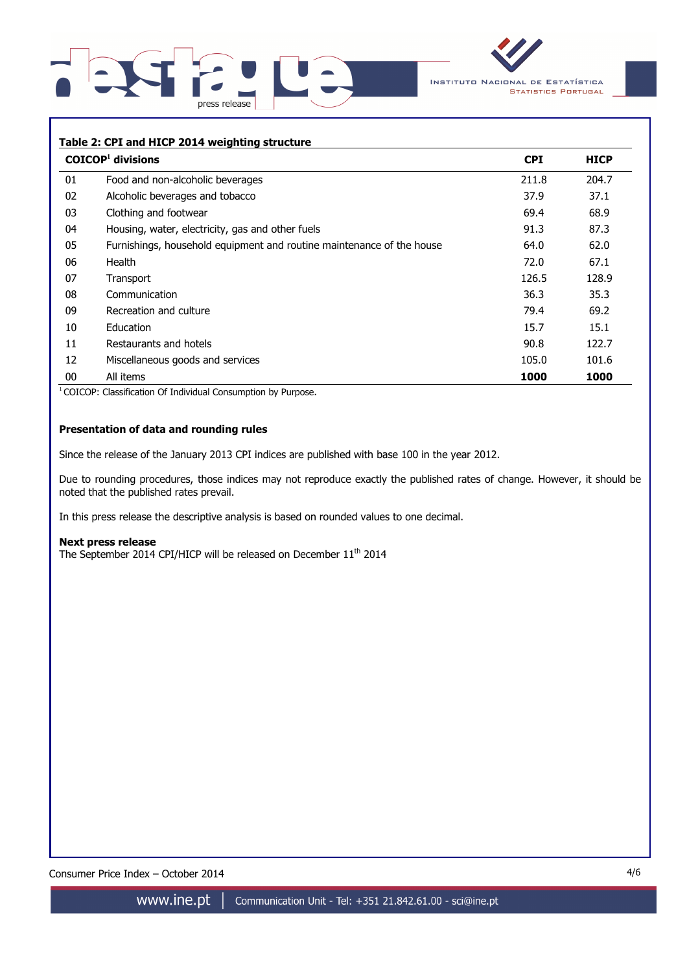



### **Table 2: CPI and HICP 2014 weighting structure**

|    | $COICOP1$ divisions                                                   | <b>CPI</b> | <b>HICP</b> |
|----|-----------------------------------------------------------------------|------------|-------------|
| 01 | Food and non-alcoholic beverages                                      | 211.8      | 204.7       |
| 02 | Alcoholic beverages and tobacco                                       | 37.9       | 37.1        |
| 03 | Clothing and footwear                                                 | 69.4       | 68.9        |
| 04 | Housing, water, electricity, gas and other fuels                      | 91.3       | 87.3        |
| 05 | Furnishings, household equipment and routine maintenance of the house | 64.0       | 62.0        |
| 06 | Health                                                                | 72.0       | 67.1        |
| 07 | Transport                                                             | 126.5      | 128.9       |
| 08 | Communication                                                         | 36.3       | 35.3        |
| 09 | Recreation and culture                                                | 79.4       | 69.2        |
| 10 | Education                                                             | 15.7       | 15.1        |
| 11 | Restaurants and hotels                                                | 90.8       | 122.7       |
| 12 | Miscellaneous goods and services                                      | 105.0      | 101.6       |
| 00 | All items                                                             | 1000       | 1000        |

<sup>1</sup> COICOP: Classification Of Individual Consumption by Purpose.

## **Presentation of data and rounding rules**

Since the release of the January 2013 CPI indices are published with base 100 in the year 2012.

Due to rounding procedures, those indices may not reproduce exactly the published rates of change. However, it should be noted that the published rates prevail.

In this press release the descriptive analysis is based on rounded values to one decimal.

#### **Next press release**

The September 2014 CPI/HICP will be released on December 11<sup>th</sup> 2014

Consumer Price Index – October 2014 4/6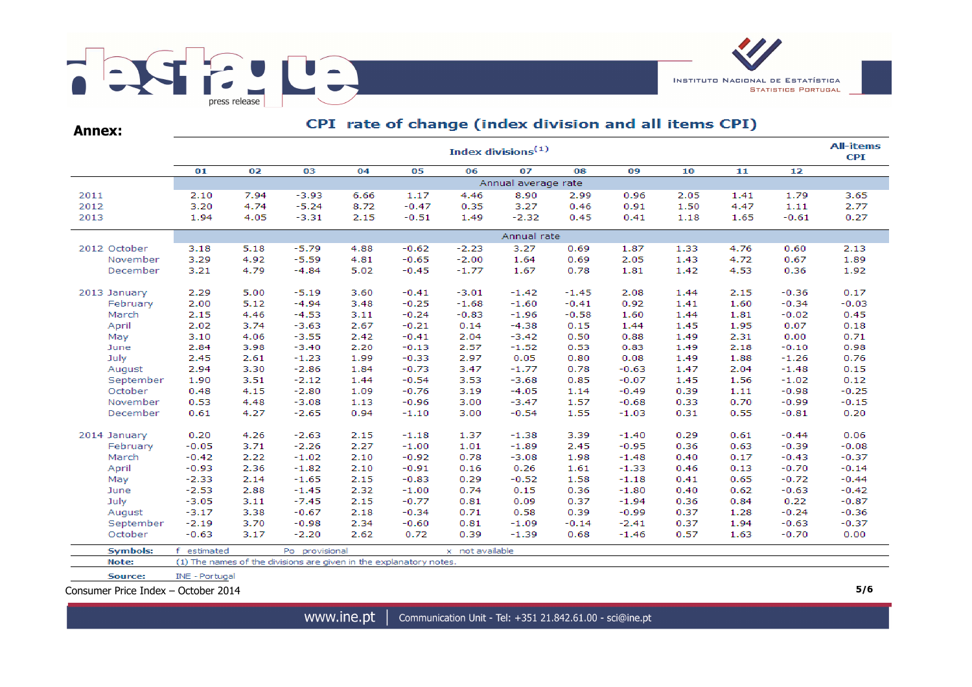

**Annex:**

# CPI rate of change (index division and all items CPI)

|                          |                       | <b>All-items</b><br>Index divisions <sup>(1)</sup><br><b>CPI</b> |                                                                    |              |                    |                 |                     |              |                    |              |              |                    |         |  |  |  |
|--------------------------|-----------------------|------------------------------------------------------------------|--------------------------------------------------------------------|--------------|--------------------|-----------------|---------------------|--------------|--------------------|--------------|--------------|--------------------|---------|--|--|--|
|                          | 01                    | 02                                                               | 03                                                                 | 04           | 05                 | 06              | 07                  | 08           | 09                 | 10           | 11           | 12                 |         |  |  |  |
|                          |                       |                                                                  |                                                                    |              |                    |                 | Annual average rate |              |                    |              |              |                    |         |  |  |  |
| 2011                     | 2.10                  | 7.94                                                             | $-3.93$                                                            | 6.66         | 1.17               | 4.46            | 8.90                | 2.99         | 0.96               | 2.05         | 1.41         | 1.79               | 3.65    |  |  |  |
| 2012                     | 3.20                  | 4.74                                                             | $-5.24$                                                            | 8.72         | $-0.47$            | 0.35            | 3.27                | 0.46         | 0.91               | 1.50         | 4.47         | 1.11               | 2.77    |  |  |  |
| 2013                     | 1.94                  | 4.05                                                             | $-3.31$                                                            | 2.15         | $-0.51$            | 1.49            | $-2.32$             | 0.45         | 0.41               | 1.18         | 1.65         | $-0.61$            | 0.27    |  |  |  |
|                          | Annual rate           |                                                                  |                                                                    |              |                    |                 |                     |              |                    |              |              |                    |         |  |  |  |
| 2012 October             | 3.18                  | 5.18                                                             | $-5.79$                                                            | 4.88         | $-0.62$            | $-2.23$         | 3.27                | 0.69         | 1.87               | 1.33         | 4.76         | 0.60               | 2.13    |  |  |  |
| November                 | 3.29                  | 4.92                                                             | $-5.59$                                                            | 4.81         | $-0.65$            | $-2.00$         | 1.64                | 0.69         | 2.05               | 1.43         | 4.72         | 0.67               | 1.89    |  |  |  |
| December                 | 3.21                  | 4.79                                                             | $-4.84$                                                            | 5.02         | $-0.45$            | $-1.77$         | 1.67                | 0.78         | 1.81               | 1.42         | 4.53         | 0.36               | 1.92    |  |  |  |
| 2013 January             | 2.29                  | 5.00                                                             | $-5.19$                                                            | 3.60         | $-0.41$            | $-3.01$         | $-1.42$             | $-1.45$      | 2.08               | 1.44         | 2.15         | $-0.36$            | 0.17    |  |  |  |
| February                 | 2.00                  | 5.12                                                             | $-4.94$                                                            | 3.48         | $-0.25$            | $-1.68$         | $-1.60$             | $-0.41$      | 0.92               | 1.41         | 1.60         | $-0.34$            | $-0.03$ |  |  |  |
| March                    | 2.15                  | 4.46                                                             | $-4.53$                                                            | 3.11         | $-0.24$            | $-0.83$         | $-1.96$             | $-0.58$      | 1.60               | 1.44         | 1.81         | $-0.02$            | 0.45    |  |  |  |
| April                    | 2.02                  | 3.74                                                             | $-3.63$                                                            | 2.67         | $-0.21$            | 0.14            | $-4.38$             | 0.15         | 1.44               | 1.45         | 1.95         | 0.07               | 0.18    |  |  |  |
| May                      | 3.10                  | 4.06                                                             | $-3.55$                                                            | 2.42         | $-0.41$            | 2.04            | $-3.42$             | 0.50         | 0.88               | 1.49         | 2.31         | 0.00               | 0.71    |  |  |  |
| June                     | 2.84                  | 3.98                                                             | $-3.40$                                                            | 2.20         | $-0.13$            | 2.57            | $-1.52$             | 0.53         | 0.83               | 1.49         | 2.18         | $-0.10$            | 0.98    |  |  |  |
| July                     | 2.45                  | 2.61                                                             | $-1.23$                                                            | 1.99         | $-0.33$            | 2.97            | 0.05                | 0.80         | 0.08               | 1.49         | 1.88         | $-1.26$            | 0.76    |  |  |  |
| August                   | 2.94                  | 3.30                                                             | $-2.86$                                                            | 1.84         | $-0.73$            | 3.47            | $-1.77$             | 0.78         | $-0.63$            | 1.47         | 2.04         | $-1.48$            | 0.15    |  |  |  |
| September                | 1.90                  | 3.51                                                             | $-2.12$                                                            | 1.44         | $-0.54$            | 3.53            | $-3.68$             | 0.85         | $-0.07$            | 1.45         | 1.56         | $-1.02$            | 0.12    |  |  |  |
| October                  | 0.48                  | 4.15                                                             | $-2.80$                                                            | 1.09         | $-0.76$            | 3.19            | $-4.05$             | 1.14         | $-0.49$            | 0.39         | 1.11         | $-0.98$            | $-0.25$ |  |  |  |
| November                 | 0.53                  | 4.48                                                             | $-3.08$                                                            | 1.13         | $-0.96$            | 3.00            | $-3.47$             | 1.57         | $-0.68$            | 0.33         | 0.70         | $-0.99$            | $-0.15$ |  |  |  |
| December                 | 0.61                  | 4.27                                                             | $-2.65$                                                            | 0.94         | $-1.10$            | 3.00            | $-0.54$             | 1.55         | $-1.03$            | 0.31         | 0.55         | $-0.81$            | 0.20    |  |  |  |
|                          |                       |                                                                  |                                                                    |              |                    |                 |                     |              |                    |              |              |                    | 0.06    |  |  |  |
| 2014 January<br>February | 0.20<br>$-0.05$       | 4.26<br>3.71                                                     | $-2.63$<br>$-2.26$                                                 | 2.15<br>2.27 | $-1.18$<br>$-1.00$ | 1.37<br>1.01    | $-1.38$<br>$-1.89$  | 3.39<br>2.45 | $-1.40$<br>$-0.95$ | 0.29<br>0.36 | 0.61<br>0.63 | $-0.44$<br>$-0.39$ | $-0.08$ |  |  |  |
| March                    | $-0.42$               | 2.22                                                             | $-1.02$                                                            | 2.10         | $-0.92$            | 0.78            | $-3.08$             | 1.98         | $-1.48$            | 0.40         | 0.17         | $-0.43$            | $-0.37$ |  |  |  |
| April                    | $-0.93$               | 2.36                                                             | $-1.82$                                                            | 2.10         | $-0.91$            | 0.16            | 0.26                | 1.61         | $-1.33$            | 0.46         | 0.13         | $-0.70$            | $-0.14$ |  |  |  |
| May                      | $-2.33$               | 2.14                                                             | $-1.65$                                                            | 2.15         | $-0.83$            | 0.29            | $-0.52$             | 1.58         | $-1.18$            | 0.41         | 0.65         | $-0.72$            | $-0.44$ |  |  |  |
| June                     | $-2.53$               | 2.88                                                             | $-1.45$                                                            | 2.32         | $-1.00$            | 0.74            | 0.15                | 0.36         | $-1.80$            | 0.40         | 0.62         | $-0.63$            | $-0.42$ |  |  |  |
| July                     | $-3.05$               | 3.11                                                             | $-7.45$                                                            | 2.15         | $-0.77$            | 0.81            | 0.09                | 0.37         | $-1.94$            | 0.36         | 0.84         | 0.22               | $-0.87$ |  |  |  |
| August                   | $-3.17$               | 3.38                                                             | $-0.67$                                                            | 2.18         | $-0.34$            | 0.71            | 0.58                | 0.39         | $-0.99$            | 0.37         | 1.28         | $-0.24$            | $-0.36$ |  |  |  |
| September                | $-2.19$               | 3.70                                                             | $-0.98$                                                            | 2.34         | $-0.60$            | 0.81            | $-1.09$             | $-0.14$      | $-2.41$            | 0.37         | 1.94         | $-0.63$            | $-0.37$ |  |  |  |
| October                  | $-0.63$               | 3.17                                                             | $-2.20$                                                            | 2.62         | 0.72               | 0.39            | $-1.39$             | 0.68         | $-1.46$            | 0.57         | 1.63         | $-0.70$            | 0.00    |  |  |  |
| <b>Symbols:</b>          | f estimated           |                                                                  | Po provisional                                                     |              |                    | x not available |                     |              |                    |              |              |                    |         |  |  |  |
| Note:                    |                       |                                                                  | (1) The names of the divisions are given in the explanatory notes. |              |                    |                 |                     |              |                    |              |              |                    |         |  |  |  |
| Source:                  | <b>INE - Portugal</b> |                                                                  |                                                                    |              |                    |                 |                     |              |                    |              |              |                    |         |  |  |  |

Consumer Price Index – October 2014 **5/6**

www.ine.pt | Communication Unit - Tel: +351 21.842.61.00 - sci@ine.pt